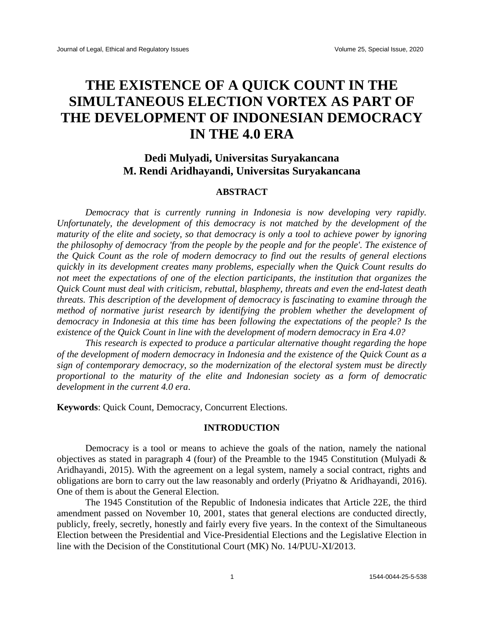# **THE EXISTENCE OF A QUICK COUNT IN THE SIMULTANEOUS ELECTION VORTEX AS PART OF THE DEVELOPMENT OF INDONESIAN DEMOCRACY IN THE 4.0 ERA**

## **Dedi Mulyadi, Universitas Suryakancana M. Rendi Aridhayandi, Universitas Suryakancana**

### **ABSTRACT**

*Democracy that is currently running in Indonesia is now developing very rapidly. Unfortunately, the development of this democracy is not matched by the development of the maturity of the elite and society, so that democracy is only a tool to achieve power by ignoring the philosophy of democracy 'from the people by the people and for the people'. The existence of the Quick Count as the role of modern democracy to find out the results of general elections quickly in its development creates many problems, especially when the Quick Count results do not meet the expectations of one of the election participants, the institution that organizes the Quick Count must deal with criticism, rebuttal, blasphemy, threats and even the end-latest death threats. This description of the development of democracy is fascinating to examine through the method of normative jurist research by identifying the problem whether the development of democracy in Indonesia at this time has been following the expectations of the people? Is the existence of the Quick Count in line with the development of modern democracy in Era 4.0?*

*This research is expected to produce a particular alternative thought regarding the hope of the development of modern democracy in Indonesia and the existence of the Quick Count as a sign of contemporary democracy, so the modernization of the electoral system must be directly proportional to the maturity of the elite and Indonesian society as a form of democratic development in the current 4.0 era*.

**Keywords**: Quick Count, Democracy, Concurrent Elections.

#### **INTRODUCTION**

Democracy is a tool or means to achieve the goals of the nation, namely the national objectives as stated in paragraph 4 (four) of the Preamble to the 1945 Constitution (Mulyadi & Aridhayandi, 2015). With the agreement on a legal system, namely a social contract, rights and obligations are born to carry out the law reasonably and orderly (Priyatno & Aridhayandi, 2016). One of them is about the General Election.

The 1945 Constitution of the Republic of Indonesia indicates that Article 22E, the third amendment passed on November 10, 2001, states that general elections are conducted directly, publicly, freely, secretly, honestly and fairly every five years. In the context of the Simultaneous Election between the Presidential and Vice-Presidential Elections and the Legislative Election in line with the Decision of the Constitutional Court (MK) No. 14/PUU-XI/2013.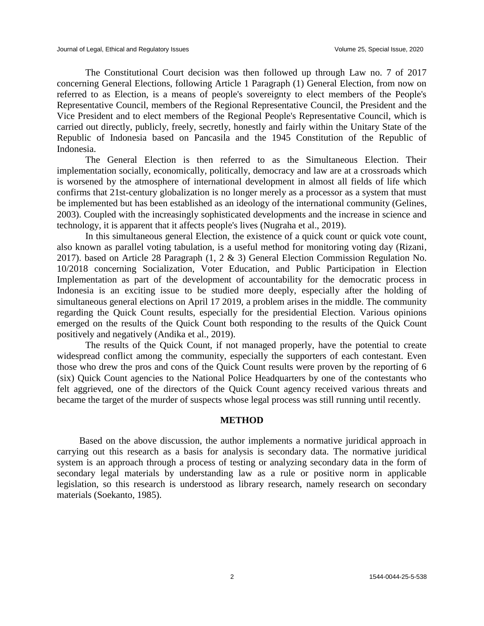The Constitutional Court decision was then followed up through Law no. 7 of 2017 concerning General Elections, following Article 1 Paragraph (1) General Election, from now on referred to as Election, is a means of people's sovereignty to elect members of the People's Representative Council, members of the Regional Representative Council, the President and the Vice President and to elect members of the Regional People's Representative Council, which is carried out directly, publicly, freely, secretly, honestly and fairly within the Unitary State of the Republic of Indonesia based on Pancasila and the 1945 Constitution of the Republic of Indonesia.

The General Election is then referred to as the Simultaneous Election. Their implementation socially, economically, politically, democracy and law are at a crossroads which is worsened by the atmosphere of international development in almost all fields of life which confirms that 21st-century globalization is no longer merely as a processor as a system that must be implemented but has been established as an ideology of the international community (Gelines, 2003). Coupled with the increasingly sophisticated developments and the increase in science and technology, it is apparent that it affects people's lives (Nugraha et al., 2019).

In this simultaneous general Election, the existence of a quick count or quick vote count, also known as parallel voting tabulation, is a useful method for monitoring voting day (Rizani, 2017). based on Article 28 Paragraph (1, 2 & 3) General Election Commission Regulation No. 10/2018 concerning Socialization, Voter Education, and Public Participation in Election Implementation as part of the development of accountability for the democratic process in Indonesia is an exciting issue to be studied more deeply, especially after the holding of simultaneous general elections on April 17 2019, a problem arises in the middle. The community regarding the Quick Count results, especially for the presidential Election. Various opinions emerged on the results of the Quick Count both responding to the results of the Quick Count positively and negatively (Andika et al., 2019).

The results of the Quick Count, if not managed properly, have the potential to create widespread conflict among the community, especially the supporters of each contestant. Even those who drew the pros and cons of the Quick Count results were proven by the reporting of 6 (six) Quick Count agencies to the National Police Headquarters by one of the contestants who felt aggrieved, one of the directors of the Quick Count agency received various threats and became the target of the murder of suspects whose legal process was still running until recently.

#### **METHOD**

Based on the above discussion, the author implements a normative juridical approach in carrying out this research as a basis for analysis is secondary data. The normative juridical system is an approach through a process of testing or analyzing secondary data in the form of secondary legal materials by understanding law as a rule or positive norm in applicable legislation, so this research is understood as library research, namely research on secondary materials (Soekanto, 1985).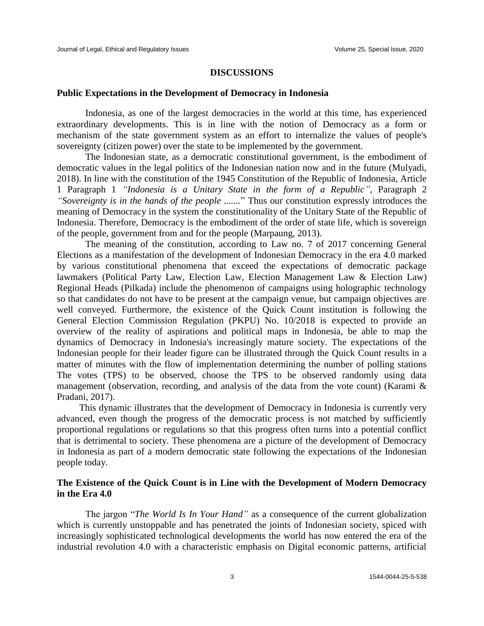#### **DISCUSSIONS**

#### **Public Expectations in the Development of Democracy in Indonesia**

Indonesia, as one of the largest democracies in the world at this time, has experienced extraordinary developments. This is in line with the notion of Democracy as a form or mechanism of the state government system as an effort to internalize the values of people's sovereignty (citizen power) over the state to be implemented by the government.

The Indonesian state, as a democratic constitutional government, is the embodiment of democratic values in the legal politics of the Indonesian nation now and in the future (Mulyadi, 2018). In line with the constitution of the 1945 Constitution of the Republic of Indonesia, Article 1 Paragraph 1 *"Indonesia is a Unitary State in the form of a Republic",* Paragraph 2 *"Sovereignty is in the hands of the people .......*" Thus our constitution expressly introduces the meaning of Democracy in the system the constitutionality of the Unitary State of the Republic of Indonesia. Therefore, Democracy is the embodiment of the order of state life, which is sovereign of the people, government from and for the people (Marpaung, 2013).

The meaning of the constitution, according to Law no. 7 of 2017 concerning General Elections as a manifestation of the development of Indonesian Democracy in the era 4.0 marked by various constitutional phenomena that exceed the expectations of democratic package lawmakers (Political Party Law, Election Law, Election Management Law & Election Law) Regional Heads (Pilkada) include the phenomenon of campaigns using holographic technology so that candidates do not have to be present at the campaign venue, but campaign objectives are well conveyed. Furthermore, the existence of the Quick Count institution is following the General Election Commission Regulation (PKPU) No. 10/2018 is expected to provide an overview of the reality of aspirations and political maps in Indonesia, be able to map the dynamics of Democracy in Indonesia's increasingly mature society. The expectations of the Indonesian people for their leader figure can be illustrated through the Quick Count results in a matter of minutes with the flow of implementation determining the number of polling stations The votes (TPS) to be observed, choose the TPS to be observed randomly using data management (observation, recording, and analysis of the data from the vote count) (Karami & Pradani, 2017).

This dynamic illustrates that the development of Democracy in Indonesia is currently very advanced, even though the progress of the democratic process is not matched by sufficiently proportional regulations or regulations so that this progress often turns into a potential conflict that is detrimental to society. These phenomena are a picture of the development of Democracy in Indonesia as part of a modern democratic state following the expectations of the Indonesian people today.

## **The Existence of the Quick Count is in Line with the Development of Modern Democracy in the Era 4.0**

The jargon "*The World Is In Your Hand"* as a consequence of the current globalization which is currently unstoppable and has penetrated the joints of Indonesian society, spiced with increasingly sophisticated technological developments the world has now entered the era of the industrial revolution 4.0 with a characteristic emphasis on Digital economic patterns, artificial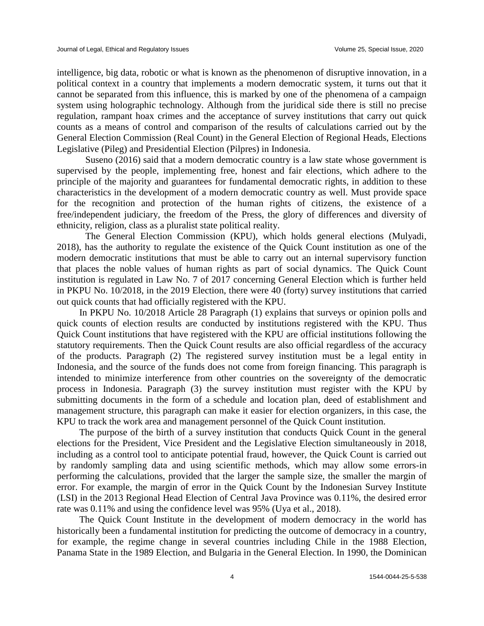intelligence, big data, robotic or what is known as the phenomenon of disruptive innovation, in a political context in a country that implements a modern democratic system, it turns out that it cannot be separated from this influence, this is marked by one of the phenomena of a campaign system using holographic technology. Although from the juridical side there is still no precise regulation, rampant hoax crimes and the acceptance of survey institutions that carry out quick counts as a means of control and comparison of the results of calculations carried out by the General Election Commission (Real Count) in the General Election of Regional Heads, Elections Legislative (Pileg) and Presidential Election (Pilpres) in Indonesia.

Suseno (2016) said that a modern democratic country is a law state whose government is supervised by the people, implementing free, honest and fair elections, which adhere to the principle of the majority and guarantees for fundamental democratic rights, in addition to these characteristics in the development of a modern democratic country as well. Must provide space for the recognition and protection of the human rights of citizens, the existence of a free/independent judiciary, the freedom of the Press, the glory of differences and diversity of ethnicity, religion, class as a pluralist state political reality.

The General Election Commission (KPU), which holds general elections (Mulyadi, 2018), has the authority to regulate the existence of the Quick Count institution as one of the modern democratic institutions that must be able to carry out an internal supervisory function that places the noble values of human rights as part of social dynamics. The Quick Count institution is regulated in Law No. 7 of 2017 concerning General Election which is further held in PKPU No. 10/2018, in the 2019 Election, there were 40 (forty) survey institutions that carried out quick counts that had officially registered with the KPU.

In PKPU No. 10/2018 Article 28 Paragraph (1) explains that surveys or opinion polls and quick counts of election results are conducted by institutions registered with the KPU. Thus Quick Count institutions that have registered with the KPU are official institutions following the statutory requirements. Then the Quick Count results are also official regardless of the accuracy of the products. Paragraph (2) The registered survey institution must be a legal entity in Indonesia, and the source of the funds does not come from foreign financing. This paragraph is intended to minimize interference from other countries on the sovereignty of the democratic process in Indonesia. Paragraph (3) the survey institution must register with the KPU by submitting documents in the form of a schedule and location plan, deed of establishment and management structure, this paragraph can make it easier for election organizers, in this case, the KPU to track the work area and management personnel of the Quick Count institution.

The purpose of the birth of a survey institution that conducts Quick Count in the general elections for the President, Vice President and the Legislative Election simultaneously in 2018, including as a control tool to anticipate potential fraud, however, the Quick Count is carried out by randomly sampling data and using scientific methods, which may allow some errors-in performing the calculations, provided that the larger the sample size, the smaller the margin of error. For example, the margin of error in the Quick Count by the Indonesian Survey Institute (LSI) in the 2013 Regional Head Election of Central Java Province was 0.11%, the desired error rate was 0.11% and using the confidence level was 95% (Uya et al., 2018).

The Quick Count Institute in the development of modern democracy in the world has historically been a fundamental institution for predicting the outcome of democracy in a country, for example, the regime change in several countries including Chile in the 1988 Election, Panama State in the 1989 Election, and Bulgaria in the General Election. In 1990, the Dominican